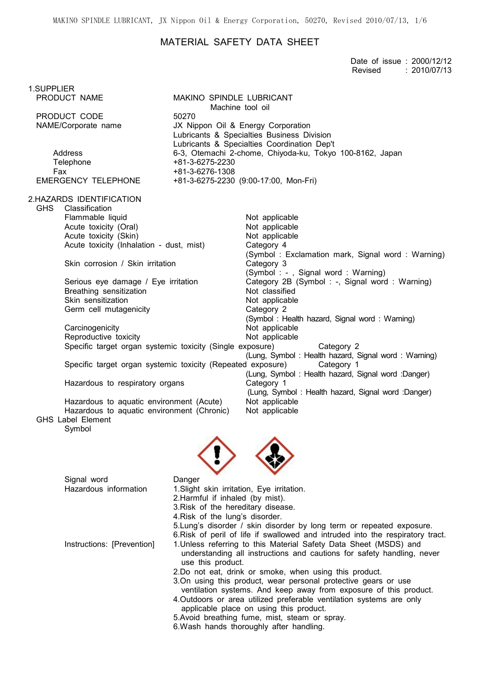MAKINO SPINDLE LUBRICANT, JX Nippon Oil & Energy Corporation, 50270, Revised 2010/07/13, 1/6

## MATERIAL SAFETY DATA SHEET

|                                                                                                                                                                                                                                                                                                                                                                                                                                                                                                                                                                                                                                                                      |                                                                                                                                                                                                                                                                                                                                                                                                                                                                                                                                                                                                                                                                       |                                                                                                                                                                                                                                                                                                                                                                                                                                                                                                                                                                                                                  | Date of issue: 2000/12/12<br>: 2010/07/13<br>Revised |
|----------------------------------------------------------------------------------------------------------------------------------------------------------------------------------------------------------------------------------------------------------------------------------------------------------------------------------------------------------------------------------------------------------------------------------------------------------------------------------------------------------------------------------------------------------------------------------------------------------------------------------------------------------------------|-----------------------------------------------------------------------------------------------------------------------------------------------------------------------------------------------------------------------------------------------------------------------------------------------------------------------------------------------------------------------------------------------------------------------------------------------------------------------------------------------------------------------------------------------------------------------------------------------------------------------------------------------------------------------|------------------------------------------------------------------------------------------------------------------------------------------------------------------------------------------------------------------------------------------------------------------------------------------------------------------------------------------------------------------------------------------------------------------------------------------------------------------------------------------------------------------------------------------------------------------------------------------------------------------|------------------------------------------------------|
| 1.SUPPLIER<br>PRODUCT NAME                                                                                                                                                                                                                                                                                                                                                                                                                                                                                                                                                                                                                                           | <b>MAKINO SPINDLE LUBRICANT</b>                                                                                                                                                                                                                                                                                                                                                                                                                                                                                                                                                                                                                                       |                                                                                                                                                                                                                                                                                                                                                                                                                                                                                                                                                                                                                  |                                                      |
|                                                                                                                                                                                                                                                                                                                                                                                                                                                                                                                                                                                                                                                                      | Machine tool oil                                                                                                                                                                                                                                                                                                                                                                                                                                                                                                                                                                                                                                                      |                                                                                                                                                                                                                                                                                                                                                                                                                                                                                                                                                                                                                  |                                                      |
| PRODUCT CODE<br>NAME/Corporate name                                                                                                                                                                                                                                                                                                                                                                                                                                                                                                                                                                                                                                  | 50270<br>JX Nippon Oil & Energy Corporation                                                                                                                                                                                                                                                                                                                                                                                                                                                                                                                                                                                                                           | Lubricants & Specialties Business Division                                                                                                                                                                                                                                                                                                                                                                                                                                                                                                                                                                       |                                                      |
| Address<br>Telephone<br>Fax<br><b>EMERGENCY TELEPHONE</b>                                                                                                                                                                                                                                                                                                                                                                                                                                                                                                                                                                                                            | Lubricants & Specialties Coordination Dep't<br>6-3, Otemachi 2-chome, Chiyoda-ku, Tokyo 100-8162, Japan<br>+81-3-6275-2230<br>+81-3-6276-1308<br>+81-3-6275-2230 (9:00-17:00, Mon-Fri)                                                                                                                                                                                                                                                                                                                                                                                                                                                                                |                                                                                                                                                                                                                                                                                                                                                                                                                                                                                                                                                                                                                  |                                                      |
|                                                                                                                                                                                                                                                                                                                                                                                                                                                                                                                                                                                                                                                                      |                                                                                                                                                                                                                                                                                                                                                                                                                                                                                                                                                                                                                                                                       |                                                                                                                                                                                                                                                                                                                                                                                                                                                                                                                                                                                                                  |                                                      |
| 2.HAZARDS IDENTIFICATION<br><b>GHS</b><br>Classification<br>Flammable liquid<br>Acute toxicity (Oral)<br>Acute toxicity (Skin)<br>Acute toxicity (Inhalation - dust, mist)<br>Skin corrosion / Skin irritation<br>Serious eye damage / Eye irritation<br>Breathing sensitization<br>Skin sensitization<br>Germ cell mutagenicity<br>Carcinogenicity<br>Reproductive toxicity<br>Specific target organ systemic toxicity (Single exposure)<br>Specific target organ systemic toxicity (Repeated exposure)<br>Hazardous to respiratory organs<br>Hazardous to aquatic environment (Acute)<br>Hazardous to aquatic environment (Chronic)<br>GHS Label Element<br>Symbol |                                                                                                                                                                                                                                                                                                                                                                                                                                                                                                                                                                                                                                                                       | Not applicable<br>Not applicable<br>Not applicable<br>Category 4<br>(Symbol: Exclamation mark, Signal word: Warning)<br>Category 3<br>(Symbol: -, Signal word: Warning)<br>Category 2B (Symbol: -, Signal word: Warning)<br>Not classified<br>Not applicable<br>Category 2<br>(Symbol: Health hazard, Signal word: Warning)<br>Not applicable<br>Not applicable<br>Category 2<br>(Lung, Symbol: Health hazard, Signal word: Warning)<br>Category 1<br>(Lung, Symbol: Health hazard, Signal word: Danger)<br>Category 1<br>(Lung, Symbol: Health hazard, Signal word: Danger)<br>Not applicable<br>Not applicable |                                                      |
|                                                                                                                                                                                                                                                                                                                                                                                                                                                                                                                                                                                                                                                                      |                                                                                                                                                                                                                                                                                                                                                                                                                                                                                                                                                                                                                                                                       |                                                                                                                                                                                                                                                                                                                                                                                                                                                                                                                                                                                                                  |                                                      |
| Signal word<br>Hazardous information                                                                                                                                                                                                                                                                                                                                                                                                                                                                                                                                                                                                                                 | Danger<br>1. Slight skin irritation, Eye irritation.<br>2. Harmful if inhaled (by mist).<br>3. Risk of the hereditary disease.<br>4. Risk of the lung's disorder.<br>5. Lung's disorder / skin disorder by long term or repeated exposure.                                                                                                                                                                                                                                                                                                                                                                                                                            |                                                                                                                                                                                                                                                                                                                                                                                                                                                                                                                                                                                                                  |                                                      |
| Instructions: [Prevention]                                                                                                                                                                                                                                                                                                                                                                                                                                                                                                                                                                                                                                           | 6. Risk of peril of life if swallowed and intruded into the respiratory tract.<br>1. Unless referring to this Material Safety Data Sheet (MSDS) and<br>understanding all instructions and cautions for safety handling, never<br>use this product.<br>2.Do not eat, drink or smoke, when using this product.<br>3. On using this product, wear personal protective gears or use<br>ventilation systems. And keep away from exposure of this product.<br>4. Outdoors or area utilized preferable ventilation systems are only<br>applicable place on using this product.<br>5. Avoid breathing fume, mist, steam or spray.<br>6. Wash hands thoroughly after handling. |                                                                                                                                                                                                                                                                                                                                                                                                                                                                                                                                                                                                                  |                                                      |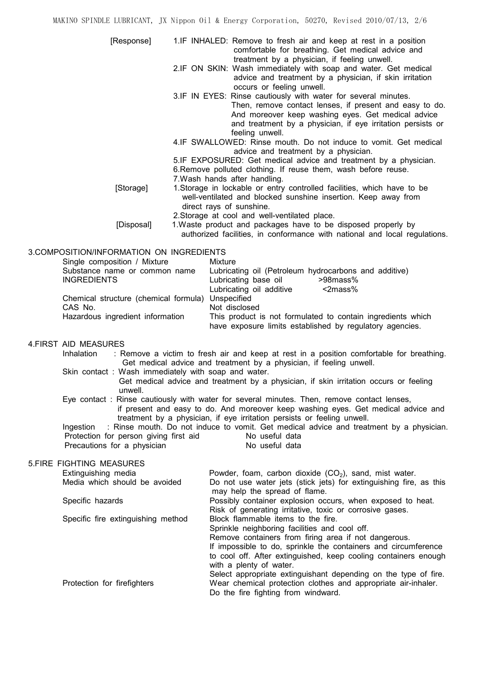MAKINO SPINDLE LUBRICANT, JX Nippon Oil & Energy Corporation, 50270, Revised 2010/07/13, 2/6 [Response] 1.IF INHALED: Remove to fresh air and keep at rest in a position comfortable for breathing. Get medical advice and treatment by a physician, if feeling unwell. 2.IF ON SKIN: Wash immediately with soap and water. Get medical advice and treatment by a physician, if skin irritation occurs or feeling unwell. 3.IF IN EYES: Rinse cautiously with water for several minutes. Then, remove contact lenses, if present and easy to do. And moreover keep washing eyes. Get medical advice and treatment by a physician, if eye irritation persists or feeling unwell. 4.IF SWALLOWED: Rinse mouth. Do not induce to vomit. Get medical advice and treatment by a physician. 5.IF EXPOSURED: Get medical advice and treatment by a physician. 6.Remove polluted clothing. If reuse them, wash before reuse. 7.Wash hands after handling. [Storage] 1.Storage in lockable or entry controlled facilities, which have to be well-ventilated and blocked sunshine insertion. Keep away from direct rays of sunshine. 2.Storage at cool and well-ventilated place. [Disposal] 1.Waste product and packages have to be disposed properly by authorized facilities, in conformance with national and local regulations. 3.COMPOSITION/INFORMATION ON INGREDIENTS Single composition / Mixture Mixture Substance name or common name Lubricating oil (Petroleum hydrocarbons and additive) INGREDIENTS Lubricating base oil >98mass% Lubricating oil additive <2mass% Chemical structure (chemical formula) Unspecified CAS No. 2008 Not disclosed Hazardous ingredient information This product is not formulated to contain ingredients which have exposure limits established by regulatory agencies. 4.FIRST AID MEASURES Inhalation : Remove a victim to fresh air and keep at rest in a position comfortable for breathing. Get medical advice and treatment by a physician, if feeling unwell. Skin contact : Wash immediately with soap and water. Get medical advice and treatment by a physician, if skin irritation occurs or feeling unwell. Eye contact : Rinse cautiously with water for several minutes. Then, remove contact lenses, if present and easy to do. And moreover keep washing eyes. Get medical advice and treatment by a physician, if eye irritation persists or feeling unwell. Ingestion : Rinse mouth. Do not induce to vomit. Get medical advice and treatment by a physician. Protection for person giving first aid No useful data Precautions for a physician No useful data 5.FIRE FIGHTING MEASURES Extinguishing media  $P$ owder, foam, carbon dioxide (CO<sub>2</sub>), sand, mist water.<br>Media which should be avoided Do not use water iets (stick iets) for extinguishing fire. Do not use water jets (stick jets) for extinguishing fire, as this may help the spread of flame. Specific hazards **Possibly container explosion occurs, when exposed to heat.** Risk of generating irritative, toxic or corrosive gases. Specific fire extinguishing method Block flammable items to the fire. Sprinkle neighboring facilities and cool off. Remove containers from firing area if not dangerous. If impossible to do, sprinkle the containers and circumference

to cool off. After extinguished, keep cooling containers enough with a plenty of water. Select appropriate extinguishant depending on the type of fire. Protection for firefighters Wear chemical protection clothes and appropriate air-inhaler. Do the fire fighting from windward.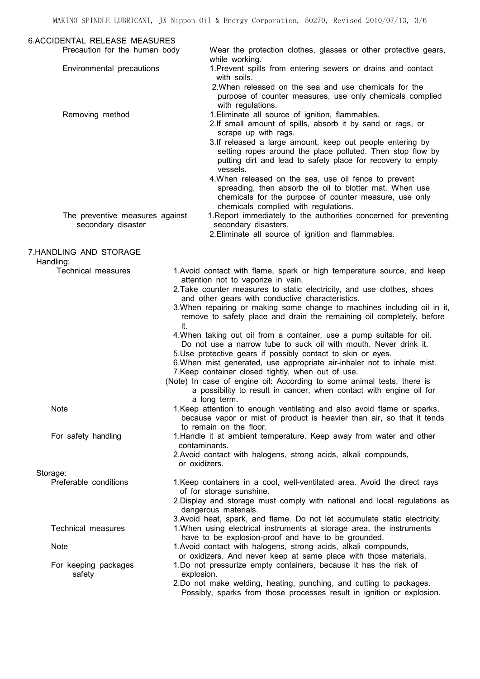| <b>6.ACCIDENTAL RELEASE MEASURES</b>                  |                                                                                                                                                                                                                                                                                                    |
|-------------------------------------------------------|----------------------------------------------------------------------------------------------------------------------------------------------------------------------------------------------------------------------------------------------------------------------------------------------------|
| Precaution for the human body                         | Wear the protection clothes, glasses or other protective gears,                                                                                                                                                                                                                                    |
| Environmental precautions                             | while working.<br>1. Prevent spills from entering sewers or drains and contact<br>with soils.                                                                                                                                                                                                      |
|                                                       | 2. When released on the sea and use chemicals for the<br>purpose of counter measures, use only chemicals complied<br>with regulations.                                                                                                                                                             |
| Removing method                                       | 1. Eliminate all source of ignition, flammables.<br>2.If small amount of spills, absorb it by sand or rags, or<br>scrape up with rags.<br>3.If released a large amount, keep out people entering by<br>setting ropes around the place polluted. Then stop flow by                                  |
|                                                       | putting dirt and lead to safety place for recovery to empty<br>vessels.<br>4. When released on the sea, use oil fence to prevent<br>spreading, then absorb the oil to blotter mat. When use<br>chemicals for the purpose of counter measure, use only<br>chemicals complied with regulations.      |
| The preventive measures against<br>secondary disaster | 1. Report immediately to the authorities concerned for preventing<br>secondary disasters.<br>2. Eliminate all source of ignition and flammables.                                                                                                                                                   |
| 7.HANDLING AND STORAGE                                |                                                                                                                                                                                                                                                                                                    |
| Handling:                                             |                                                                                                                                                                                                                                                                                                    |
| <b>Technical measures</b>                             | 1. Avoid contact with flame, spark or high temperature source, and keep<br>attention not to vaporize in vain.                                                                                                                                                                                      |
|                                                       | 2. Take counter measures to static electricity, and use clothes, shoes<br>and other gears with conductive characteristics.                                                                                                                                                                         |
|                                                       | 3. When repairing or making some change to machines including oil in it,<br>remove to safety place and drain the remaining oil completely, before<br>it.                                                                                                                                           |
|                                                       | 4. When taking out oil from a container, use a pump suitable for oil.<br>Do not use a narrow tube to suck oil with mouth. Never drink it.<br>5. Use protective gears if possibly contact to skin or eyes.                                                                                          |
|                                                       | 6. When mist generated, use appropriate air-inhaler not to inhale mist.                                                                                                                                                                                                                            |
|                                                       | 7. Keep container closed tightly, when out of use.<br>(Note) In case of engine oil: According to some animal tests, there is<br>a possibility to result in cancer, when contact with engine oil for<br>a long term.                                                                                |
| <b>Note</b>                                           | 1. Keep attention to enough ventilating and also avoid flame or sparks,<br>because vapor or mist of product is heavier than air, so that it tends<br>to remain on the floor.                                                                                                                       |
| For safety handling                                   | 1. Handle it at ambient temperature. Keep away from water and other<br>contaminants.<br>2. Avoid contact with halogens, strong acids, alkali compounds,                                                                                                                                            |
|                                                       | or oxidizers.                                                                                                                                                                                                                                                                                      |
| Storage:                                              |                                                                                                                                                                                                                                                                                                    |
| Preferable conditions                                 | 1. Keep containers in a cool, well-ventilated area. Avoid the direct rays<br>of for storage sunshine.<br>2. Display and storage must comply with national and local regulations as<br>dangerous materials.<br>3. Avoid heat, spark, and flame. Do not let accumulate static electricity.           |
| <b>Technical measures</b>                             | 1. When using electrical instruments at storage area, the instruments<br>have to be explosion-proof and have to be grounded.                                                                                                                                                                       |
| <b>Note</b>                                           | 1. Avoid contact with halogens, strong acids, alkali compounds,                                                                                                                                                                                                                                    |
| For keeping packages<br>safety                        | or oxidizers. And never keep at same place with those materials.<br>1.Do not pressurize empty containers, because it has the risk of<br>explosion.<br>2.Do not make welding, heating, punching, and cutting to packages.<br>Possibly, sparks from those processes result in ignition or explosion. |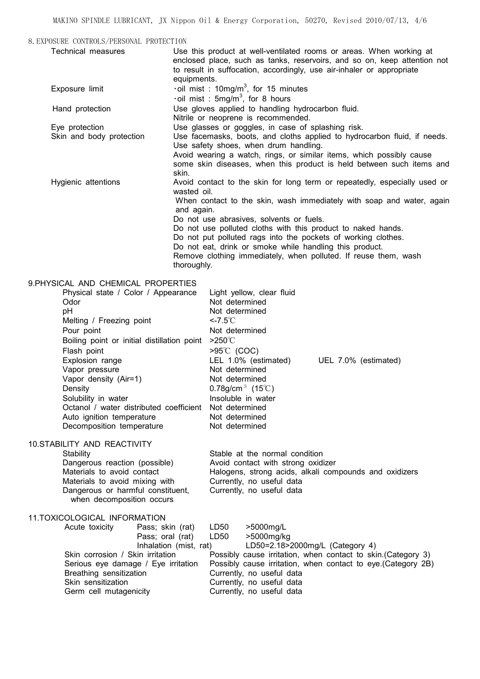8.EXPOSURE CONTROLS/PERSONAL PROTECTION Technical measures Use this product at well-ventilated rooms or areas. When working at enclosed place, such as tanks, reservoirs, and so on, keep attention not to result in suffocation, accordingly, use air-inhaler or appropriate equipments. Exposure limit  $\cdot$  oil mist : 10mg/m<sup>3</sup>, for 15 minutes  $\cdot$ oil mist : 5mg/m<sup>3</sup>, for 8 hours Hand protection **Use gloves applied to handling hydrocarbon fluid.**  Nitrile or neoprene is recommended. Eye protection **Use glasses or goggles, in case of splashing risk.**<br>Skin and body protection Use facemasks, boots, and cloths applied to hydro Use facemasks, boots, and cloths applied to hydrocarbon fluid, if needs. Use safety shoes, when drum handling. Avoid wearing a watch, rings, or similar items, which possibly cause some skin diseases, when this product is held between such items and skin. Hygienic attentions Avoid contact to the skin for long term or repeatedly, especially used or wasted oil. When contact to the skin, wash immediately with soap and water, again and again. Do not use abrasives, solvents or fuels. Do not use polluted cloths with this product to naked hands. Do not put polluted rags into the pockets of working clothes. Do not eat, drink or smoke while handling this product. Remove clothing immediately, when polluted. If reuse them, wash thoroughly. 9.PHYSICAL AND CHEMICAL PROPERTIES

| S.FIII SICAL AND CHLIMICAL FIVOF LIVILLO               |                                                               |  |  |  |  |
|--------------------------------------------------------|---------------------------------------------------------------|--|--|--|--|
| Physical state / Color / Appearance                    | Light yellow, clear fluid                                     |  |  |  |  |
| Odor                                                   | Not determined                                                |  |  |  |  |
| pH                                                     | Not determined                                                |  |  |  |  |
| Melting / Freezing point                               | $< 7.5^{\circ}$ C                                             |  |  |  |  |
| Pour point                                             | Not determined                                                |  |  |  |  |
| Boiling point or initial distillation point            | $>250^{\circ}$                                                |  |  |  |  |
| Flash point                                            | $>95^{\circ}$ C (COC)                                         |  |  |  |  |
| Explosion range                                        | LEL 1.0% (estimated)<br>UEL 7.0% (estimated)                  |  |  |  |  |
| Vapor pressure                                         | Not determined                                                |  |  |  |  |
| Vapor density (Air=1)                                  | Not determined                                                |  |  |  |  |
| Density                                                | 0.78g/cm <sup>3</sup> (15°C)                                  |  |  |  |  |
| Solubility in water                                    | Insoluble in water                                            |  |  |  |  |
| Octanol / water distributed coefficient Not determined |                                                               |  |  |  |  |
| Auto ignition temperature                              | Not determined                                                |  |  |  |  |
| Decomposition temperature                              | Not determined                                                |  |  |  |  |
|                                                        |                                                               |  |  |  |  |
| <b>10.STABILITY AND REACTIVITY</b>                     |                                                               |  |  |  |  |
| Stability                                              | Stable at the normal condition                                |  |  |  |  |
| Dangerous reaction (possible)                          | Avoid contact with strong oxidizer                            |  |  |  |  |
| Materials to avoid contact                             | Halogens, strong acids, alkali compounds and oxidizers        |  |  |  |  |
| Materials to avoid mixing with                         | Currently, no useful data                                     |  |  |  |  |
| Dangerous or harmful constituent,                      | Currently, no useful data                                     |  |  |  |  |
| when decomposition occurs                              |                                                               |  |  |  |  |
| 11.TOXICOLOGICAL INFORMATION                           |                                                               |  |  |  |  |
| Acute toxicity<br>Pass; skin (rat)                     | LD50<br>>5000mg/L                                             |  |  |  |  |
| Pass; oral (rat)                                       | LD50<br>>5000mg/kg                                            |  |  |  |  |
| Inhalation (mist, rat)                                 | LD50=2.18>2000mg/L (Category 4)                               |  |  |  |  |
| Skin corrosion / Skin irritation                       | Possibly cause irritation, when contact to skin. (Category 3) |  |  |  |  |
| Serious eye damage / Eye irritation                    | Possibly cause irritation, when contact to eye. (Category 2B) |  |  |  |  |
| Breathing sensitization                                | Currently, no useful data                                     |  |  |  |  |
| Skin sensitization                                     | Currently, no useful data                                     |  |  |  |  |
| Germ cell mutagenicity                                 | Currently, no useful data                                     |  |  |  |  |
|                                                        |                                                               |  |  |  |  |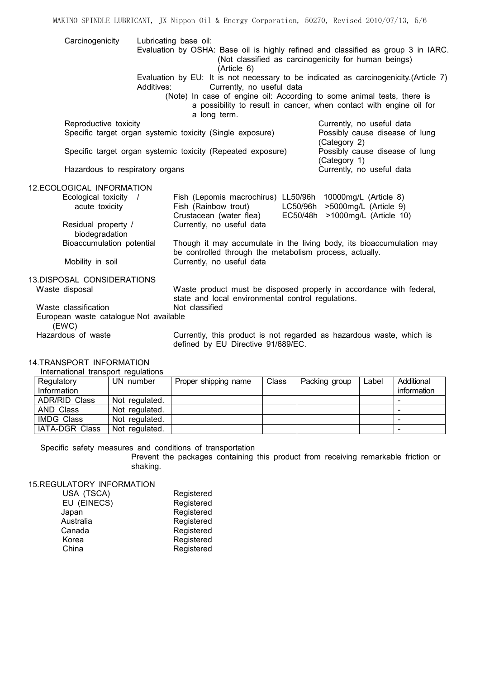| Carcinogenicity                                                         | Lubricating base oil:                                                                                                           |                                                                                                                                           |  |  |
|-------------------------------------------------------------------------|---------------------------------------------------------------------------------------------------------------------------------|-------------------------------------------------------------------------------------------------------------------------------------------|--|--|
|                                                                         | (Article 6)                                                                                                                     | Evaluation by OSHA: Base oil is highly refined and classified as group 3 in IARC.<br>(Not classified as carcinogenicity for human beings) |  |  |
|                                                                         | Evaluation by EU: It is not necessary to be indicated as carcinogenicity.(Article 7)<br>Currently, no useful data<br>Additives: |                                                                                                                                           |  |  |
|                                                                         | (Note) In case of engine oil: According to some animal tests, there is<br>a long term.                                          | a possibility to result in cancer, when contact with engine oil for                                                                       |  |  |
| Reproductive toxicity                                                   |                                                                                                                                 | Currently, no useful data                                                                                                                 |  |  |
| Specific target organ systemic toxicity (Single exposure)               |                                                                                                                                 | Possibly cause disease of lung<br>(Category 2)                                                                                            |  |  |
|                                                                         | Specific target organ systemic toxicity (Repeated exposure)                                                                     | Possibly cause disease of lung<br>(Category 1)                                                                                            |  |  |
| Hazardous to respiratory organs                                         |                                                                                                                                 | Currently, no useful data                                                                                                                 |  |  |
| 12.ECOLOGICAL INFORMATION                                               |                                                                                                                                 |                                                                                                                                           |  |  |
| Ecological toxicity /<br>acute toxicity                                 | Fish (Lepomis macrochirus) LL50/96h 10000mg/L (Article 8)<br>Fish (Rainbow trout)<br>Crustacean (water flea)<br>EC50/48h        | LC50/96h >5000mg/L (Article 9)<br>>1000mg/L (Article 10)                                                                                  |  |  |
| Residual property /<br>biodegradation                                   | Currently, no useful data                                                                                                       |                                                                                                                                           |  |  |
| Bioaccumulation potential                                               |                                                                                                                                 | Though it may accumulate in the living body, its bioaccumulation may<br>be controlled through the metabolism process, actually.           |  |  |
| Mobility in soil                                                        | Currently, no useful data                                                                                                       |                                                                                                                                           |  |  |
| 13.DISPOSAL CONSIDERATIONS                                              |                                                                                                                                 |                                                                                                                                           |  |  |
| Waste disposal                                                          |                                                                                                                                 | Waste product must be disposed properly in accordance with federal,<br>state and local environmental control regulations.                 |  |  |
| Waste classification<br>European waste catalogue Not available<br>(EWC) | Not classified                                                                                                                  |                                                                                                                                           |  |  |
| Hazardous of waste                                                      |                                                                                                                                 | Currently, this product is not regarded as hazardous waste, which is                                                                      |  |  |

MAKINO SPINDLE LUBRICANT, JX Nippon Oil & Energy Corporation, 50270, Revised 2010/07/13, 5/6

defined by EU Directive 91/689/EC.

## 14.TRANSPORT INFORMATION

| International transport regulations |  |  |
|-------------------------------------|--|--|
|-------------------------------------|--|--|

| Regulatory           | UN number      | Proper shipping name | Class | Packing group | Label | Additional  |
|----------------------|----------------|----------------------|-------|---------------|-------|-------------|
| Information          |                |                      |       |               |       | information |
| <b>ADR/RID Class</b> | Not regulated. |                      |       |               |       |             |
| AND Class            | Not regulated. |                      |       |               |       |             |
| <b>IMDG Class</b>    | Not regulated. |                      |       |               |       |             |
| IATA-DGR Class       | Not regulated. |                      |       |               |       |             |

Specific safety measures and conditions of transportation

Prevent the packages containing this product from receiving remarkable friction or shaking.

15.REGULATORY INFORMATION

| Registered |  |  |
|------------|--|--|
| Registered |  |  |
| Registered |  |  |
| Registered |  |  |
| Registered |  |  |
| Registered |  |  |
| Registered |  |  |
|            |  |  |